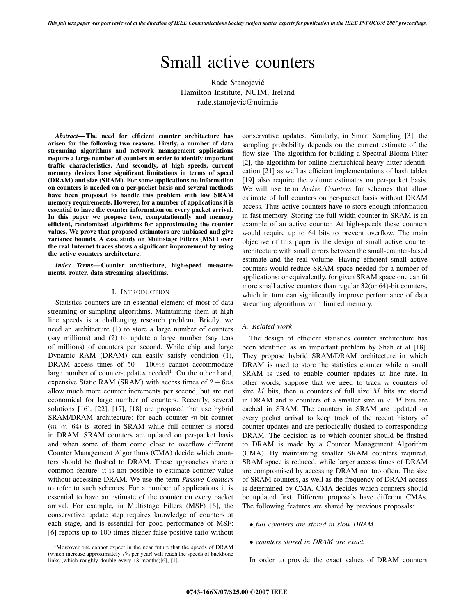*This full text paper was peer reviewed at the direction of IEEE Communications Society subject matter experts for publication in the IEEE INFOCOM 2007 proceedings.*

# Small active counters

Rade Stanojevic´ Hamilton Institute, NUIM, Ireland rade.stanojevic@nuim.ie

*Abstract***— The need for efficient counter architecture has arisen for the following two reasons. Firstly, a number of data streaming algorithms and network management applications require a large number of counters in order to identify important traffic characteristics. And secondly, at high speeds, current memory devices have significant limitations in terms of speed (DRAM) and size (SRAM). For some applications no information on counters is needed on a per-packet basis and several methods have been proposed to handle this problem with low SRAM memory requirements. However, for a number of applications it is essential to have the counter information on every packet arrival. In this paper we propose two, computationally and memory efficient, randomized algorithms for approximating the counter values. We prove that proposed estimators are unbiased and give variance bounds. A case study on Multistage Filters (MSF) over the real Internet traces shows a significant improvement by using the active counters architecture.**

*Index Terms***— Counter architecture, high-speed measurements, router, data streaming algorithms.**

## I. INTRODUCTION

Statistics counters are an essential element of most of data streaming or sampling algorithms. Maintaining them at high line speeds is a challenging research problem. Briefly, we need an architecture (1) to store a large number of counters (say millions) and (2) to update a large number (say tens of millions) of counters per second. While chip and large Dynamic RAM (DRAM) can easily satisfy condition (1), DRAM access times of  $50 - 100ns$  cannot accommodate large number of counter-updates needed<sup>1</sup>. On the other hand, expensive Static RAM (SRAM) with access times of  $2 - 6ns$ allow much more counter increments per second, but are not economical for large number of counters. Recently, several solutions [16], [22], [17], [18] are proposed that use hybrid SRAM/DRAM architecture: for each counter m-bit counter  $(m \ll 64)$  is stored in SRAM while full counter is stored in DRAM. SRAM counters are updated on per-packet basis and when some of them come close to overflow different Counter Management Algorithms (CMA) decide which counters should be flushed to DRAM. These approaches share a common feature: it is not possible to estimate counter value without accessing DRAM. We use the term *Passive Counters* to refer to such schemes. For a number of applications it is essential to have an estimate of the counter on every packet arrival. For example, in Multistage Filters (MSF) [6], the conservative update step requires knowledge of counters at each stage, and is essential for good performance of MSF: [6] reports up to 100 times higher false-positive ratio without

<sup>1</sup>Moreover one cannot expect in the near future that the speeds of DRAM (which increase approximately 7% per year) will reach the speeds of backbone links (which roughly double every 18 months)[6], [1].

conservative updates. Similarly, in Smart Sampling [3], the sampling probability depends on the current estimate of the flow size. The algorithm for building a Spectral Bloom Filter [2], the algorithm for online hierarchical-heavy-hitter identification [21] as well as efficient implementations of hash tables [19] also require the volume estimates on per-packet basis. We will use term *Active Counters* for schemes that allow estimate of full counters on per-packet basis without DRAM access. Thus active counters have to store enough information in fast memory. Storing the full-width counter in SRAM is an example of an active counter. At high-speeds these counters would require up to 64 bits to prevent overflow. The main objective of this paper is the design of small active counter architecture with small errors between the small-counter-based estimate and the real volume. Having efficient small active counters would reduce SRAM space needed for a number of applications; or equivalently, for given SRAM space one can fit more small active counters than regular 32(or 64)-bit counters, which in turn can significantly improve performance of data streaming algorithms with limited memory.

# *A. Related work*

The design of efficient statistics counter architecture has been identified as an important problem by Shah et al [18]. They propose hybrid SRAM/DRAM architecture in which DRAM is used to store the statistics counter while a small SRAM is used to enable counter updates at line rate. In other words, suppose that we need to track  $n$  counters of size  $M$  bits, then  $n$  counters of full size  $M$  bits are stored in DRAM and n counters of a smaller size  $m < M$  bits are cached in SRAM. The counters in SRAM are updated on every packet arrival to keep track of the recent history of counter updates and are periodically flushed to corresponding DRAM. The decision as to which counter should be flushed to DRAM is made by a Counter Management Algorithm (CMA). By maintaining smaller SRAM counters required, SRAM space is reduced, while larger access times of DRAM are compromised by accessing DRAM not too often. The size of SRAM counters, as well as the frequency of DRAM access is determined by CMA. CMA decides which counters should be updated first. Different proposals have different CMAs. The following features are shared by previous proposals:

- *full counters are stored in slow DRAM.*
- *counters stored in DRAM are exact.*

In order to provide the exact values of DRAM counters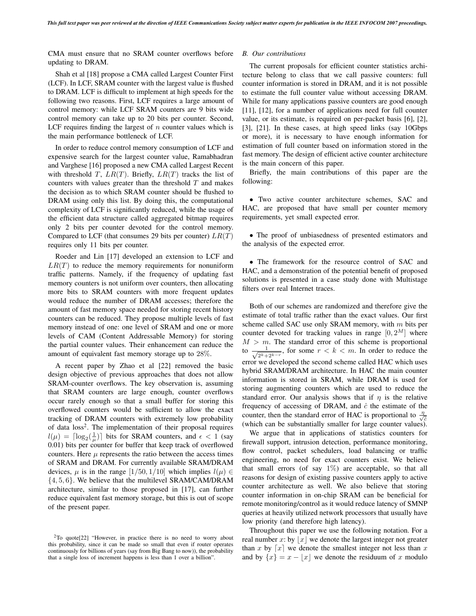CMA must ensure that no SRAM counter overflows before updating to DRAM.

Shah et al [18] propose a CMA called Largest Counter First (LCF). In LCF, SRAM counter with the largest value is flushed to DRAM. LCF is difficult to implement at high speeds for the following two reasons. First, LCF requires a large amount of control memory: while LCF SRAM counters are 9 bits wide control memory can take up to 20 bits per counter. Second, LCF requires finding the largest of  $n$  counter values which is the main performance bottleneck of LCF.

In order to reduce control memory consumption of LCF and expensive search for the largest counter value, Ramabhadran and Varghese [16] proposed a new CMA called Largest Recent with threshold T,  $LR(T)$ . Briefly,  $LR(T)$  tracks the list of counters with values greater than the threshold  $T$  and makes the decision as to which SRAM counter should be flushed to DRAM using only this list. By doing this, the computational complexity of LCF is significantly reduced, while the usage of the efficient data structure called aggregated bitmap requires only 2 bits per counter devoted for the control memory. Compared to LCF (that consumes 29 bits per counter)  $LR(T)$ requires only 11 bits per counter.

Roeder and Lin [17] developed an extension to LCF and  $LR(T)$  to reduce the memory requirements for nonuniform traffic patterns. Namely, if the frequency of updating fast memory counters is not uniform over counters, then allocating more bits to SRAM counters with more frequent updates would reduce the number of DRAM accesses; therefore the amount of fast memory space needed for storing recent history counters can be reduced. They propose multiple levels of fast memory instead of one: one level of SRAM and one or more levels of CAM (Content Addressable Memory) for storing the partial counter values. Their enhancement can reduce the amount of equivalent fast memory storage up to 28%.

A recent paper by Zhao et al [22] removed the basic design objective of previous approaches that does not allow SRAM-counter overflows. The key observation is, assuming that SRAM counters are large enough, counter overflows occur rarely enough so that a small buffer for storing this overflowed counters would be sufficient to allow the exact tracking of DRAM counters with extremely low probability of data loss<sup>2</sup>. The implementation of their proposal requires  $l(\mu) = \lceil \log_2(\frac{1}{\mu}) \rceil$  bits for SRAM counters, and  $\epsilon < 1$  (say 0.01) bits per counter for buffer that keep track of overflowed 0.01) bits per counter for buffer that keep track of overflowed counters. Here  $\mu$  represents the ratio between the access times of SRAM and DRAM. For currently available SRAM/DRAM devices,  $\mu$  is in the range [1/50, 1/10] which implies  $l(\mu) \in$  $\{4, 5, 6\}$ . We believe that the multilevel SRAM/CAM/DRAM architecture, similar to those proposed in [17], can further reduce equivalent fast memory storage, but this is out of scope of the present paper.

## *B. Our contributions*

The current proposals for efficient counter statistics architecture belong to class that we call passive counters: full counter information is stored in DRAM, and it is not possible to estimate the full counter value without accessing DRAM. While for many applications passive counters are good enough [11], [12], for a number of applications need for full counter value, or its estimate, is required on per-packet basis [6], [2], [3], [21]. In these cases, at high speed links (say 10Gbps or more), it is necessary to have enough information for estimation of full counter based on information stored in the fast memory. The design of efficient active counter architecture is the main concern of this paper.

Briefly, the main contributions of this paper are the following:

• Two active counter architecture schemes, SAC and HAC, are proposed that have small per counter memory requirements, yet small expected error.

• The proof of unbiasedness of presented estimators and the analysis of the expected error.

• The framework for the resource control of SAC and HAC, and a demonstration of the potential benefit of proposed solutions is presented in a case study done with Multistage filters over real Internet traces.

Both of our schemes are randomized and therefore give the estimate of total traffic rather than the exact values. Our first scheme called SAC use only SRAM memory, with  $m$  bits per counter devoted for tracking values in range  $[0, 2^M]$  where  $M > m$ . The standard error of this scheme is proportional to  $\frac{1}{\sqrt{2^k+2^{k-r}}}$ , for some  $r < k < m$ . In order to reduce the error we developed the second scheme called HAC which uses hybrid SRAM/DRAM architecture. In HAC the main counter information is stored in SRAM, while DRAM is used for storing augmenting counters which are used to reduce the standard error. Our analysis shows that if  $\eta$  is the relative frequency of accessing of DRAM, and  $\hat{c}$  the estimate of the counter, then the standard error of HAC is proportional to  $\frac{\eta}{\sqrt{c}}$ (which can be substantially smaller for large counter values).

We argue that in applications of statistics counters for firewall support, intrusion detection, performance monitoring, flow control, packet schedulers, load balancing or traffic engineering, no need for exact counters exist. We believe that small errors (of say  $1\%$ ) are acceptable, so that all reasons for design of existing passive counters apply to active counter architecture as well. We also believe that storing counter information in on-chip SRAM can be beneficial for remote monitoring/control as it would reduce latency of SMNP queries at heavily utilized network processors that usually have low priority (and therefore high latency).

Throughout this paper we use the following notation. For a real number x: by |x| we denote the largest integer not greater than x by  $\lceil x \rceil$  we denote the smallest integer not less than x and by  $\{x\} = x - |x|$  we denote the residuum of x modulo

<sup>2</sup>To quote[22] "However, in practice there is no need to worry about this probability, since it can be made so small that even if router operates continuously for billions of years (say from Big Bang to now)), the probability that a single loss of increment happens is less than 1 over a billion".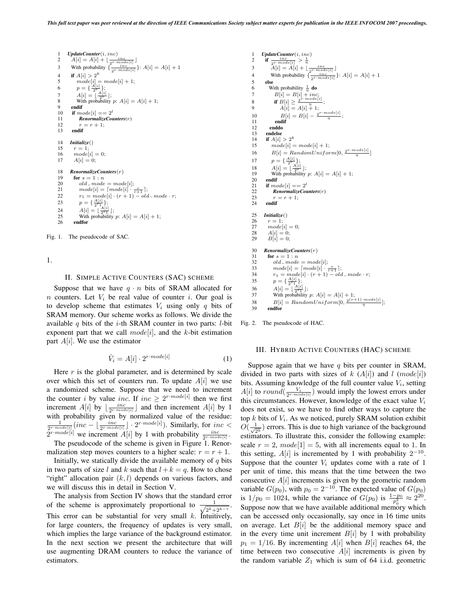```
1 UpdateCounter(i, inc)<br>2 A[i] = A[i] + (-1)^{i}2 A[i] = A[i] + \lfloor \frac{inc}{2^{r \cdot mode[i]}} \rfloor<br>3 With probability {\frac{inc}{2^{r \cdot mode[i]}}}: A[i] = A[i] + 14 if A[i] > 2^k5 mode[i] = mode[i] + 1;<br>
6 p = {\frac{A[i]}{2^r}};7 A[i] = \lfloor \frac{A[i]}{2^r} \rfloor;8 With probability p: A[i] = A[i] + 1;9 endif<br>10 if mc10 if mode[i] == 2^l<br>11 RenormalizeCou
              11 RenormalizeCounters(r)
12 r = r + 1;<br>13 endif
         13 endif
14 Initialize()<br>15 r = 1:
15 r = 1;<br>16 model16 model[i] = 0;<br>
17 A[i] = 0;A[i]=0;18 RenormalizeCounters(r)<br>19 for s = 1:n19 for s = 1:n<br>20 old mode
20 old-mode = mode[i];<br>21 model[i] = [model[i].
21 mode[i] = \lceil mode[i] \cdot \frac{r}{r+1} \rceil;<br>
22 r_1 = mode[i] \cdot (r+1) - old\_mode \cdot r;23 p = {\frac{A[i]}{2^{r_1}}};24 A[i] = \lfloor \frac{A[i]}{2^{r_1}} \rfloor;25 With probability p: A[i] = A[i] + 1;<br>26 endfor
           endfor
```
Fig. 1. The pseudocode of SAC.

1.

## II. SIMPLE ACTIVE COUNTERS (SAC) SCHEME

Suppose that we have  $q \cdot n$  bits of SRAM allocated for n counters. Let  $V_i$  be real value of counter i. Our goal is to develop scheme that estimates  $V_i$  using only q bits of SRAM memory. Our scheme works as follows. We divide the available  $q$  bits of the *i*-th SRAM counter in two parts: *l*-bit exponent part that we call  $model[i]$ , and the k-bit estimation part  $A[i]$ . We use the estimator

$$
\hat{V}_i = A[i] \cdot 2^{r \cdot mode[i]} \tag{1}
$$

Here  $r$  is the global parameter, and is determined by scale over which this set of counters run. To update  $A[i]$  we use a randomized scheme. Suppose that we need to increment the counter i by value inc. If  $inc \geq 2^{r \cdot mode[i]}$  then we first increment  $A[i]$  by  $\lfloor \frac{inc}{2r \mod{[i]}} \rfloor$  and then increment  $A[i]$  by 1 with probability given by normalized value of the residue:  $\frac{1}{2r \cdot model[i]}(inc - \lfloor \frac{inc}{2r \cdot model[i]} \rfloor \cdot 2^{r \cdot model[i]})$ . Similarly, for  $inc <$  $2^{r \cdot model[i]}$  we increment  $A[i]$  by 1 with probability  $\frac{inc}{2^{r \cdot model[i]}}$ .<br>The pseudocode of the scheme is given in Figure 1. Report

The pseudocode of the scheme is given in Figure 1. Renormalization step moves counters to a higher scale:  $r = r + 1$ .

Initially, we statically divide the available memory of  $q$  bits in two parts of size l and k such that  $l + k = q$ . How to chose "right" allocation pair  $(k, l)$  depends on various factors, and we will discuss this in detail in Section V.

The analysis from Section IV shows that the standard error of the scheme is approximately proportional to  $\sqrt{2^{k}+2^{k-r}}$ This error can be substantial for very small  $k$ . Intuitively, for large counters, the frequency of updates is very small, which implies the large variance of the background estimator. In the next section we present the architecture that will use augmenting DRAM counters to reduce the variance of estimators.

```
1 UpdateCounter(i, inc)<br>2 if \frac{inc}{c} > \frac{1}{c}2 if \frac{inc}{2^{r \cdot mode[i]}} > \frac{1}{\eta}3 \hat{A}[i] = \hat{A}[i] + \left(\frac{inc}{2^{r \cdot mode[i]}}\right]<br>
4 With probability \{\frac{inc}{2^{r \cdot mode[i]}}\}: A[i] = A[i] + 1<br>
5 else
 6 With probability \frac{1}{n} do
7 B[i] = B[i] + inc;8 if B[i] \geq \frac{2^{r} \cdot mode[i]}{n};
8 if B[i] \ge \frac{2^{r \cdot mod e[i]}}{A[i] = A[i] + 1;}10 B[i] = B[i] - \frac{2^{r \cdot mode[i]}}{n};11 endif
12 enddo
13 endelse
14 if A[i] > 2^k<br>15 mode[i] =mode[i] = mode[i] + 1;16 B[i] = RandomUniform[0, \frac{2^{r \cdot mode[i]}}{n}]17 p = {\frac{A[i]}{2r}\atop -{2r \choose 2r}};<br>
18 A[i] = \frac{A[i]}{2r};<br>
19 With probability p: A[i] = A[i] + 1;
20 endif
21 if mode[i] == 2^l<br>22 RenormalizeCou
22 RenormalizeCounters(r)<br>23 r = r + 1;
\begin{array}{ll} 23 & \quad r = r+1; \\ 24 & \quad \mbox{endif} \end{array}endif
25 Initialize()<br>26 r = 1:
26 r = 1;<br>27 mode27 mode[i]=0;<br>
28 A[i]=0;28 A[i] = 0;<br>
29 B[i] = 0;30 RenormalizeCounters(r)<br>31 for s = 1:n31 for s = 1:n<br>32 old mode
32 old_model = mode[i];<br>33 model[i] = [model[i].
 33 mode[i] = [mode[i] \cdot \frac{r}{r+1}];<br>34 r_1 = mode[i] \cdot (r+1) - old-mode \cdot r;35 p = {\frac{A[i]}{2^{r_1}}}_{;}<br>
36 A[i] = {\frac{A[i]}{2^{r_1}}}];<br>
37 With probability p: A[i] = A[i] + 1;<br>
38 B[i] = RandomUniform[0, \frac{2^{(r+1)} \cdot mode[i]}{n}];
39 endfor
```
Fig. 2. The pseudocode of HAC.

#### III. HYBRID ACTIVE COUNTERS (HAC) SCHEME

Suppose again that we have  $q$  bits per counter in SRAM, divided in two parts with sizes of k  $(A[i])$  and l  $(model[i])$ bits. Assuming knowledge of the full counter value  $V_i$ , setting  $A[i]$  to  $round(\frac{V_i}{2r \cdot mode[i]})$  would imply the lowest errors under this circumstances. However, knowledge of the exact value V. this circumstances. However, knowledge of the exact value  $V_i$ does not exist, so we have to find other ways to capture the top  $k$  bits of  $V_i$ . As we noticed, purely SRAM solution exhibit  $\overline{O(\frac{1}{\sqrt{2}k})}$  errors. This is due to high variance of the background<br>estimators. To illustrate this, consider the following example: estimators. To illustrate this, consider the following example: scale  $r = 2$ ,  $mode[1] = 5$ , with all increments equal to 1. In this setting,  $A[i]$  is incremented by 1 with probability  $2^{-10}$ . Suppose that the counter  $V_i$  updates come with a rate of 1 per unit of time, this means that the time between the two consecutive  $A[i]$  increments is given by the geometric random<br>variable  $G(n_0)$ , with  $n_0 = 2^{-10}$ . The expected value of  $G(n_0)$ . variable  $G(p_0)$ , with  $p_0 = 2^{-10}$ . The expected value of  $G(p_0)$ <br>is  $1/p_0 = 1024$  while the variance of  $G(p_0)$  is  $\frac{1-p_0}{2} \approx 2^{20}$ is  $1/p_0 = 1024$ , while the variance of  $G(p_0)$  is  $\frac{1-p_0}{p_0^2} \approx 2^{20}$ . Suppose now that we have available additional memory which can be accessed only occasionally, say once in 16 time units on average. Let  $B[i]$  be the additional memory space and in the every time unit increment  $B[i]$  by 1 with probability  $p_1 = 1/16$ . By incrementing  $A[i]$  when  $B[i]$  reaches 64, the time between two consecutive  $A[i]$  increments is given by the random variable  $Z_1$  which is sum of 64 i.i.d. geometric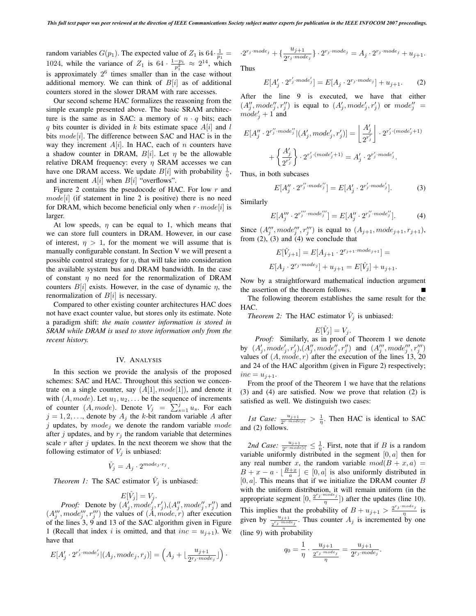random variables  $G(p_1)$ . The expected value of  $Z_1$  is 64 $\cdot \frac{1}{p_1} = 1024$ , while the variance of  $Z_1$  is 64 $\cdot \frac{1-p_1}{p_1^2} \approx 2^{14}$ , which is approximately  $2<sup>6</sup>$  times smaller than in the case without additional memory. We can think of  $B[i]$  as of additional counters stored in the slower DRAM with rare accesses.

Our second scheme HAC formalizes the reasoning from the simple example presented above. The basic SRAM architecture is the same as in SAC: a memory of  $n \cdot q$  bits; each q bits counter is divided in k bits estimate space  $A[i]$  and l bits  $mode[i]$ . The difference between SAC and HAC is in the way they increment  $A[i]$ . In HAC, each of n counters have a shadow counter in DRAM,  $B[i]$ . Let  $\eta$  be the allowable relative DRAM frequency: every  $\eta$  SRAM accesses we can have one DRAM access. We update  $B[i]$  with probability  $\frac{1}{\eta}$ , and increment  $A[i]$  when  $B[i]$  "overflows".

Figure 2 contains the pseudocode of HAC. For low  $r$  and  $model[i]$  (if statement in line 2 is positive) there is no need for DRAM, which become beneficial only when  $r \cdot model[i]$  is larger.

At low speeds,  $\eta$  can be equal to 1, which means that we can store full counters in DRAM. However, in our case of interest,  $\eta > 1$ , for the moment we will assume that is manually configurable constant. In Section V we will present a possible control strategy for  $\eta$ , that will take into consideration the available system bus and DRAM bandwidth. In the case of constant  $\eta$  no need for the renormalization of DRAM counters  $B[i]$  exists. However, in the case of dynamic  $\eta$ , the renormalization of  $B[i]$  is necessary.

Compared to other existing counter architectures HAC does not have exact counter value, but stores only its estimate. Note a paradigm shift: *the main counter information is stored in SRAM while DRAM is used to store information only from the recent history.*

## IV. ANALYSIS

In this section we provide the analysis of the proposed schemes: SAC and HAC. Throughout this section we concentrate on a single counter, say  $(A[1], mode[1])$ , and denote it with  $(A, mode)$ . Let  $u_1, u_2, \ldots$  be the sequence of increments for counter  $(A, mode)$ . Denote  $V_j = \sum_{s=1}^j u_s$ . For each  $j = 1, 2$  denote by  $A$ ; the *k*-bit random variable  $A$  after  $j = 1, 2, \ldots$ , denote by  $A_j$  the k-bit random variable A after j updates, by  $mode_j$  we denote the random variable mode after j updates, and by  $r_i$  the random variable that determines scale  $r$  after  $j$  updates. In the next theorem we show that the following estimator of  $V_j$  is unbiased:

$$
\hat{V}_j = A_j \cdot 2^{mode_j \cdot r_j}.
$$

*Theorem 1:* The SAC estimator  $\hat{V}_j$  is unbiased:

$$
E[\hat{V}_j] = V_j.
$$
  
(A' mode')

*Proof:* Denote by  $(A_j^j, mode_j^j, r_j^j), (A_j^{\prime\prime}, mode_j^{\prime\prime}, r_j^{\prime\prime})$  and  $mode^{\prime\prime\prime}$  representing mode<sup> $\prime\prime\prime$ </sup> representing  $(A_j'', model_j'', r_j'')$  the values of  $(A, mode, r)$  after execution<br>of the lines 3, 9 and 13 of the SAC algorithm given in Figure of the lines 3, 9 and 13 of the SAC algorithm given in Figure 1 (Recall that index i is omitted, and that  $inc = u_{j+1}$ ). We have that

$$
E[A'_j \cdot 2^{r'_j \cdot mode'_j} | (A_j, mode_j, r_j)] = \left(A_j + \lfloor \frac{u_{j+1}}{2^{r_j \cdot mode_j}} \rfloor \right).
$$

$$
\cdot 2^{r_j \cdot mode_j} + \left\{ \frac{u_{j+1}}{2^{r_j \cdot mode_j}} \right\} \cdot 2^{r_j \cdot mode_j} = A_j \cdot 2^{r_j \cdot mode_j} + u_{j+1}.
$$

Thus

$$
E[A'_j \cdot 2^{r'_j \cdot mode'_j}] = E[A_j \cdot 2^{r_j \cdot mode_j}] + u_{j+1}.
$$
 (2)

After the line 9 is executed, we have that either  $(A''_j, mode''_j, r''_j)$  is equal to  $(A'_j, mode'_j, r'_j)$  or  $mode''_j =$ <br>mode'  $+1$  and  $mode'_{j} + 1$  and

$$
E[A''_j \cdot 2^{r''_j \cdot mode''_j} | (A'_j, mode'_j, r'_j)] = \left\lfloor \frac{A'_j}{2^{r'_j}} \right\rfloor \cdot 2^{r'_j \cdot (mode'_j + 1)}
$$

$$
+ \left\{ \frac{A'_j}{2^{r'_j}} \right\} \cdot 2^{r'_j \cdot (mode'_j + 1)} = A'_j \cdot 2^{r'_j \cdot mode'_j}.
$$
Thus, in both subcases

$$
E[A''_j \cdot 2^{r''_j \cdot mode''_j}] = E[A'_j \cdot 2^{r'_j \cdot mode'_j}]. \tag{3}
$$

Similarly

$$
E[A''_j \cdot 2^{r''_j \cdot mode''_j}] = E[A''_j \cdot 2^{r''_j \cdot mode''_j}]. \tag{4}
$$

Since  $(A_j''', mode_j''', r_j''')$  is equal to  $(A_{j+1}, mode_{j+1}, r_{j+1})$ ,<br>from (2) (3) and (4) we conclude that from  $(2)$ ,  $(3)$  and  $(4)$  we conclude that

$$
E[\hat{V}_{j+1}] = E[A_{j+1} \cdot 2^{r_{j+1} \cdot mode_{j+1}}] =
$$
  

$$
E[A_j \cdot 2^{r_j \cdot mode_j}] + u_{j+1} = E[\hat{V}_j] + u_{j+1}.
$$

Now by a straightforward mathematical induction argument the assertion of the theorem follows.

The following theorem establishes the same result for the HAC.

*Theorem 2:* The HAC estimator  $\hat{V}_j$  is unbiased:

$$
E[\hat{V}_i] = V_i.
$$

 $E[\hat{V}_j] = V_j$ .<br>*Proof:* Similarly, as in proof of Theorem 1 we denote by  $(A'_j, mode'_j, r'_j), (A''_j, mode''_j, r''_j)$  and  $(A'''_j, mode'''_j, r''_j)$ <br>values of  $(A \text{ mode } r)$  after the execution of the lines 13, 20 values of  $(A, mode, r)$  after the execution of the lines 13, 20 and 24 of the HAC algorithm (given in Figure 2) respectively;  $inc = u_{i+1}.$ 

From the proof of the Theorem 1 we have that the relations (3) and (4) are satisfied. Now we prove that relation (2) is satisfied as well. We distinguish two cases:

*1st Case:*  $\frac{u_{j+1}}{2^{r \cdot mode[i]}} > \frac{1}{\eta}$ . Then HAC is identical to SAC and (2) follows.

2nd Case:  $\frac{u_{j+1}}{2^{r \cdot model(i)}} \leq \frac{1}{\eta}$ . First, note that if B is a random variable uniformly distributed in the segment  $[0, a]$  then for any real number x, the random variable  $mod(B + x, a)$  $B + x - a \cdot \lfloor \frac{B+x}{a} \rfloor \in [0, a]$  is also uniformly distributed in  $[0, a]$ . This means that if we initialize the DRAM counter B  $[0, a]$ . This means that if we initialize the DRAM counter B with the uniform distribution, it will remain uniform (in the appropriate segment  $[0, \frac{2^{r_j \cdot mode_j}}{\eta}]$ ) after the updates (line 10). This implies that the probability of  $B + u_{j+1} > \frac{2^{r_j \cdot mode_j}}{r_j}$  is given by  $\frac{u_{j+1}}{2^{r_j \mod r_j}}$ . Thus counter  $A_j$  is incremented by one (line 9) with probability

$$
q_0 = \frac{1}{\eta} \cdot \frac{u_{j+1}}{\frac{2^{r_j \cdot mode_j}}{\eta}} = \frac{u_{j+1}}{2^{r_j \cdot mode_j}}.
$$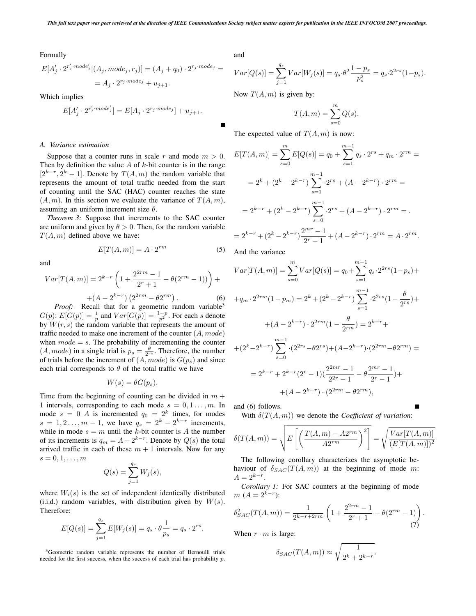Formally

$$
E[A'_j \cdot 2^{r'_j \cdot mode'_j} | (A_j, mode_j, r_j)] = (A_j + q_0) \cdot 2^{r_j \cdot mode_j} =
$$
  
= 
$$
A_j \cdot 2^{r_j \cdot mode_j} + u_{j+1}.
$$

Which implies

$$
E[A'_j \cdot 2^{r'_j \cdot mode'_j}] = E[A_j \cdot 2^{r_j \cdot mode_j}] + u_{j+1}.
$$

#### *A. Variance estimation*

Suppose that a counter runs in scale r and mode  $m > 0$ . Then by definition the value  $A$  of  $k$ -bit counter is in the range  $[2^{k-r}, 2^k - 1]$ . Denote by  $T(A, m)$  the random variable that represents the amount of total traffic needed from the start of counting until the SAC (HAC) counter reaches the state  $(A, m)$ . In this section we evaluate the variance of  $T(A, m)$ , assuming an uniform increment size  $\theta$ .

*Theorem 3:* Suppose that increments to the SAC counter are uniform and given by  $\theta > 0$ . Then, for the random variable  $T(A, m)$  defined above we have:<br> $F^{[T(A, m)]}$ 

and

$$
E[T(A,m)] = A \cdot 2^{rm}
$$
 (5)

$$
Var[T(A, m)] = 2^{k-r} \left( 1 + \frac{2^{2rm} - 1}{2^r + 1} - \theta(2^{rm} - 1) \right) +
$$
  
+(A - 2<sup>k-r</sup>) (2<sup>2rm</sup> - \theta2<sup>rm</sup>). (6)  
*Proof:* Recall that for a geometric random variable<sup>3</sup>

 $G(p): E[G(p)] = \frac{1}{p}$  and  $Var[G(p)] = \frac{1-p}{p^2}$ . For each s denote by  $W(r, s)$  the random variable that represents the amount of traffic needed to make one increment of the counter  $(A, mode)$ when  $mode = s$ . The probability of incrementing the counter  $(A, mode)$  in a single trial is  $p_s = \frac{\theta}{2rs}$ . Therefore, the number<br>of trials before the increment of  $(A \mod p)$  is  $G(n)$  and since of trials before the increment of  $(A, mode)$  is  $G(p_s)$  and since each trial corresponds to  $\theta$  of the total traffic we have

$$
W(s) = \theta G(p_s).
$$

Time from the beginning of counting can be divided in  $m +$ 1 intervals, corresponding to each mode  $s = 0, 1, \ldots, m$ . In mode  $s = 0$  A is incremented  $q_0 = 2^k$  times, for modes  $s = 1, 2, ..., m - 1$ , we have  $q_s = 2^k - 2^{k-r}$  increments,<br>while in mode  $s - m$  until the k-bit counter is 4 the number while in mode  $s = m$  until the k-bit counter is A the number of its increments is  $q_m = A - 2^{k-r}$ . Denote by  $Q(s)$  the total arrived traffic in each of these  $m + 1$  intervals. Now for any  $s=0,1,\ldots,m$ 

$$
Q(s) = \sum_{j=1}^{q_s} W_j(s),
$$

where  $W_i(s)$  is the set of independent identically distributed (i.i.d.) random variables, with distribution given by  $W(s)$ . Therefore:

$$
E[Q(s)] = \sum_{j=1}^{q_s} E[W_j(s)] = q_s \cdot \theta \frac{1}{p_s} = q_s \cdot 2^{rs}.
$$

3Geometric random variable represents the number of Bernoulli trials needed for the first success, when the success of each trial has probability p. and

$$
Var[Q(s)] = \sum_{j=1}^{q_s} Var[W_j(s)] = q_s \cdot \theta^2 \frac{1 - p_s}{p_s^2} = q_s \cdot 2^{2rs} (1 - p_s).
$$

Now  $T(A, m)$  is given by:

$$
T(A,m) = \sum_{s=0}^{m} Q(s).
$$

The expected value of  $T(A, m)$  is now:

$$
E[T(A,m)] = \sum_{s=0}^{m} E[Q(s)] = q_0 + \sum_{s=1}^{m-1} q_s \cdot 2^{rs} + q_m \cdot 2^{rm} =
$$
  
=  $2^k + (2^k - 2^{k-r}) \sum_{s=1}^{m-1} 2^{rs} + (A - 2^{k-r}) \cdot 2^{rm} =$   
=  $2^{k-r} + (2^k - 2^{k-r}) \sum_{s=0}^{m-1} 2^{rs} + (A - 2^{k-r}) \cdot 2^{rm} =$ .  
=  $2^{k-r} + (2^k - 2^{k-r}) \frac{2^{mr} - 1}{2^r - 1} + (A - 2^{k-r}) \cdot 2^{rm} = A \cdot 2^{rm}$ .

And the variance

$$
Var[T(A, m)] = \sum_{s=0}^{m} Var[Q(s)] = q_0 + \sum_{s=1}^{m-1} q_s \cdot 2^{2rs} (1 - p_s) +
$$
  
+ $q_m \cdot 2^{2rm} (1 - p_m) = 2^k + (2^k - 2^{k-r}) \sum_{s=1}^{m-1} \cdot 2^{2rs} (1 - \frac{\theta}{2^{rs}}) +$   
+ $(A - 2^{k-r}) \cdot 2^{2rm} (1 - \frac{\theta}{2^{rm}}) = 2^{k-r} +$   
+ $(2^k - 2^{k-r}) \sum_{s=0}^{m-1} \cdot (2^{2rs} - \theta 2^{rs}) + (A - 2^{k-r}) \cdot (2^{2rm} - \theta 2^{rm}) =$   
=  $2^{k-r} + 2^{k-r} (2^r - 1) (\frac{2^{2mr} - 1}{2^{2r} - 1} - \theta \frac{2^{mr} - 1}{2^r - 1}) +$   
+ $(A - 2^{k-r}) \cdot (2^{2rm} - \theta 2^{rm}),$ 

and (6) follows.

With  $\delta(T(A, m))$  we denote the *Coefficient of variation*:

$$
\delta(T(A,m)) = \sqrt{E\left[\left(\frac{T(A,m) - A2^{rm}}{A2^{rm}}\right)^2\right]} = \sqrt{\frac{Var[T(A,m)]}{(E[T(A,m)])^2}}
$$

The following corollary characterizes the asymptotic behaviour of  $\delta_{SAC}(T(A,m))$  at the beginning of mode m:  $A = 2^{k-r}$ .

*Corollary 1:* For SAC counters at the beginning of mode  $m(A = 2^{k-r})$ :

$$
\delta_{SAC}^2(T(A,m)) = \frac{1}{2^{k-r+2rm}} \left( 1 + \frac{2^{2rm} - 1}{2^r + 1} - \theta(2^{rm} - 1) \right). \tag{7}
$$

When  $r \cdot m$  is large:

$$
\delta_{SAC}(T(A,m)) \approx \sqrt{\frac{1}{2^k + 2^{k-r}}}.
$$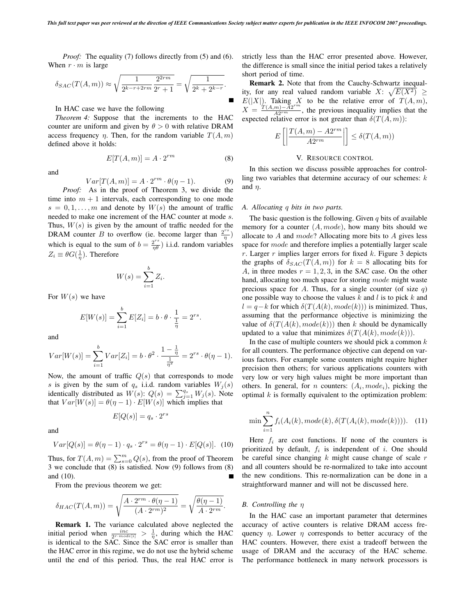*Proof:* The equality (7) follows directly from (5) and (6). When  $r \cdot m$  is large

$$
\delta_{SAC}(T(A,m)) \approx \sqrt{\frac{1}{2^{k-r+2rm}} \frac{2^{2rm}}{2^r+1}} = \sqrt{\frac{1}{2^k+2^{k-r}}}.
$$

In HAC case we have the following

*Theorem 4:* Suppose that the increments to the HAC counter are uniform and given by  $\theta > 0$  with relative DRAM access frequency  $\eta$ . Then, for the random variable  $T(A, m)$ defined above it holds:

$$
E[T(A,m)] = A \cdot 2^{rm}
$$
 (8)

$$
Var[T(A, m)] = A \cdot 2^{rm} \cdot \theta(\eta - 1).
$$
 (9)  
Proof: As in the proof of Theorem 3, we divide the

time into  $m + 1$  intervals, each corresponding to one mode  $s = 0, 1, \ldots, m$  and denote by  $W(s)$  the amount of traffic needed to make one increment of the HAC counter at mode s. Thus,  $W(s)$  is given by the amount of traffic needed for the **DRAM** counter B to overflow (ie. become larger than  $\frac{2^{rs}}{r}$ ) which is equal to the sum of  $b = \frac{2^{rs}}{r \theta}$ ) i.i.d. random variables  $Z_i \equiv \theta G(\frac{1}{\eta})$ . Therefore

$$
W(s) = \sum_{i=1}^{b} Z_i.
$$

For  $W(s)$  we have

$$
E[W(s)] = \sum_{i=1}^{b} E[Z_i] = b \cdot \theta \cdot \frac{1}{\frac{1}{\eta}} = 2^{rs}.
$$

and

and

$$
Var[W(s)] = \sum_{i=1}^{b} Var[Z_i] = b \cdot \theta^2 \cdot \frac{1 - \frac{1}{\eta}}{\frac{1}{\eta^2}} = 2^{rs} \cdot \theta(\eta - 1).
$$

Now, the amount of traffic  $Q(s)$  that corresponds to mode s is given by the sum of  $q_s$  i.i.d. random variables  $W_j(s)$ identically distributed as  $W(s)$ :  $Q(s) = \sum_{j=1}^{q_s} W_j(s)$ . Note that  $Var[W(s)] = \theta(\eta - 1) \cdot E[W(s)]$  which implies that

$$
E[Q(s)] = q_s \cdot 2^{rs}
$$

and

$$
Var[Q(s)] = \theta(\eta - 1) \cdot q_s \cdot 2^{rs} = \theta(\eta - 1) \cdot E[Q(s)]. \tag{10}
$$

Thus, for  $T(A, m) = \sum_{s=0}^{m} Q(s)$ , from the proof of Theorem<br>3 we conclude that (8) is satisfied. Now (9) follows from (8) 3 we conclude that (8) is satisfied. Now (9) follows from (8) and (10). п

From the previous theorem we get:

$$
\delta_{HAC}(T(A,m)) = \sqrt{\frac{A \cdot 2^{rm} \cdot \theta(\eta-1)}{(A \cdot 2^{rm})^2}} = \sqrt{\frac{\theta(\eta-1)}{A \cdot 2^{rm}}}.
$$

**Remark 1.** The variance calculated above neglected the initial period when  $\frac{inc}{2^{r \cdot mode[i]}} > \frac{1}{\eta}$ , during which the HAC is identical to the SAC. Since the SAC error is smaller than the HAC error in this regime, we do not use the hybrid scheme until the end of this period. Thus, the real HAC error is strictly less than the HAC error presented above. However, the difference is small since the initial period takes a relatively short period of time.

**Remark 2.** Note that from the Cauchy-Schwartz inequality, for any real valued random variable  $X: \sqrt{E(X^2)} \geq E(|X|)$ . Taking X to be the relative error of  $T(A, m)$ .  $E(|X|)$ . Taking X to be the relative error of  $T(A,m)$ ,<br> $X = T(A,m) - A2^{rm}$  the previous inequality implies that the  $X = \frac{T(A,m) - A2^{rm}}{A2^{rm}}$ , the previous inequality implies that the expected relative error is not greater than  $\delta(T(A,m))$ . expected relative error is not greater than  $\delta(T(A, m))$ :

$$
E\left[\left|\frac{T(A,m) - A2^{rm}}{A2^{rm}}\right|\right] \le \delta(T(A,m))
$$

# V. RESOURCE CONTROL

In this section we discuss possible approaches for controlling two variables that determine accuracy of our schemes:  $k$ and  $n$ .

#### *A. Allocating* q *bits in two parts.*

The basic question is the following. Given  $q$  bits of available memory for a counter  $(A, mode)$ , how many bits should we allocate to  $A$  and  $mode$ ? Allocating more bits to  $A$  gives less space for mode and therefore implies a potentially larger scale  $r$ . Larger  $r$  implies larger errors for fixed  $k$ . Figure 3 depicts the graphs of  $\delta_{SAC}(T(A,m))$  for  $k = 8$  allocating bits for A, in three modes  $r = 1, 2, 3$ , in the SAC case. On the other hand, allocating too much space for storing *mode* might waste precious space for A. Thus, for a single counter (of size  $q$ ) one possible way to choose the values  $k$  and  $l$  is to pick  $k$  and  $l = q-k$  for which  $\delta(T(A(k), mode(k)))$  is minimized. Thus, assuming that the performance objective is minimizing the value of  $\delta(T(A(k), mode(k)))$  then k should be dynamically updated to a value that minimizes  $\delta(T(A(k), mode(k))).$ 

In the case of multiple counters we should pick a common  $k$ for all counters. The performance objective can depend on various factors. For example some counters might require higher precision then others; for various applications counters with very low or very high values might be more important than others. In general, for *n* counters:  $(A_i, mode_i)$ , picking the optimal  $k$  is formally equivalent to the optimization problem:

$$
\min \sum_{i=1}^{n} f_i(A_i(k), mode(k), \delta(T(A_i(k), mode(k)))). \quad (11)
$$

Here  $f_i$  are cost functions. If none of the counters is prioritized by default,  $f_i$  is independent of i. One should be careful since changing  $k$  might cause change of scale  $r$ and all counters should be re-normalized to take into account the new conditions. This re-normalization can be done in a straightforward manner and will not be discussed here.

## *B. Controlling the* η

In the HAC case an important parameter that determines accuracy of active counters is relative DRAM access frequency  $\eta$ . Lower  $\eta$  corresponds to better accuracy of the HAC counters. However, there exist a tradeoff between the usage of DRAM and the accuracy of the HAC scheme. The performance bottleneck in many network processors is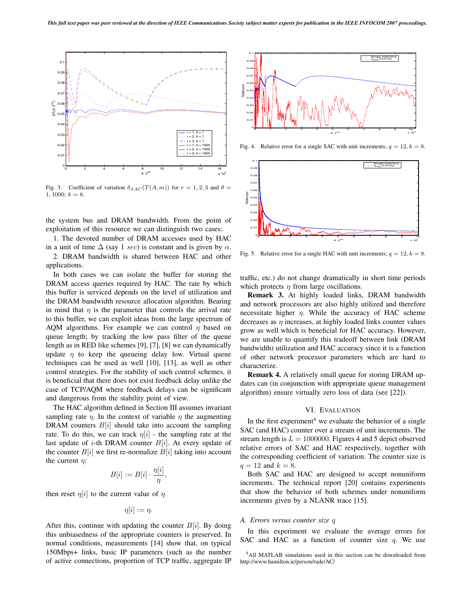

Fig. 3. Coefficient of variation  $\delta_{SAC}(T(A,m))$  for  $r = 1, 2, 3$  and  $\theta =$  $1, 1000; k = 8.$ 

the system bus and DRAM bandwidth. From the point of exploitation of this resource we can distinguish two cases:

1. The devoted number of DRAM accesses used by HAC in a unit of time  $\Delta$  (say 1 sec) is constant and is given by  $\alpha$ .

2. DRAM bandwidth is shared between HAC and other applications.

In both cases we can isolate the buffer for storing the DRAM access queries required by HAC. The rate by which this buffer is serviced depends on the level of utilization and the DRAM bandwidth resource allocation algorithm. Bearing in mind that  $\eta$  is the parameter that controls the arrival rate to this buffer, we can exploit ideas from the large spectrum of AQM algorithms. For example we can control  $\eta$  based on queue length; by tracking the low pass filter of the queue length as in RED like schemes [9], [7], [8] we can dynamically update  $\eta$  to keep the queueing delay low. Virtual queue techniques can be used as well [10], [13], as well as other control strategies. For the stability of such control schemes, it is beneficial that there does not exist feedback delay unlike the case of TCP/AQM where feedback delays can be significant and dangerous from the stability point of view.

The HAC algorithm defined in Section III assumes invariant sampling rate  $\eta$ . In the context of variable  $\eta$  the augmenting DRAM counters  $B[i]$  should take into account the sampling rate. To do this, we can track  $\eta[i]$  - the sampling rate at the last update of *i*-th DRAM counter  $B[i]$ . At every update of the counter  $B[i]$  we first re-normalize  $B[i]$  taking into account the current  $\eta$ :

$$
B[i] := B[i] \cdot \frac{\eta[i]}{\eta},
$$

then reset  $\eta[i]$  to the current value of  $\eta$ 

$$
\eta[i] := \eta.
$$

After this, continue with updating the counter  $B[i]$ . By doing this unbiasedness of the appropriate counters is preserved. In normal conditions, measurements [14] show that, on typical 150Mbps+ links, basic IP parameters (such as the number of active connections, proportion of TCP traffic, aggregate IP



Fig. 4. Relative error for a single SAC with unit increments;  $q = 12, k = 8$ .



Fig. 5. Relative error for a single HAC with unit increments;  $q = 12, k = 8$ .

traffic, etc.) do not change dramatically in short time periods which protects  $\eta$  from large oscillations.

**Remark 3.** At highly loaded links, DRAM bandwidth and network processors are also highly utilized and therefore necessitate higher  $\eta$ . While the accuracy of HAC scheme decreases as  $\eta$  increases, at highly loaded links counter values grow as well which is beneficial for HAC accuracy. However, we are unable to quantify this tradeoff between link (DRAM bandwidth) utilization and HAC accuracy since it is a function of other network processor parameters which are hard to characterize.

**Remark 4.** A relatively small queue for storing DRAM updates can (in conjunction with appropriate queue management algorithm) ensure virtually zero loss of data (see [22]).

## VI. EVALUATION

In the first experiment<sup>4</sup> we evaluate the behavior of a single SAC (and HAC) counter over a stream of unit increments. The stream length is  $L = 1000000$ . Figures 4 and 5 depict observed relative errors of SAC and HAC respectively, together with the corresponding coefficient of variation. The counter size is  $q = 12$  and  $k = 8$ .

Both SAC and HAC are designed to accept nonuniform increments. The technical report [20] contains experiments that show the behavior of both schemes under nonuniform increments given by a NLANR trace [15].

## *A. Errors versus counter size* q

In this experiment we evaluate the average errors for SAC and HAC as a function of counter size  $q$ . We use

<sup>4</sup>All MATLAB simulations used in this section can be downloaded from http://www.hamilton.ie/person/rade/AC/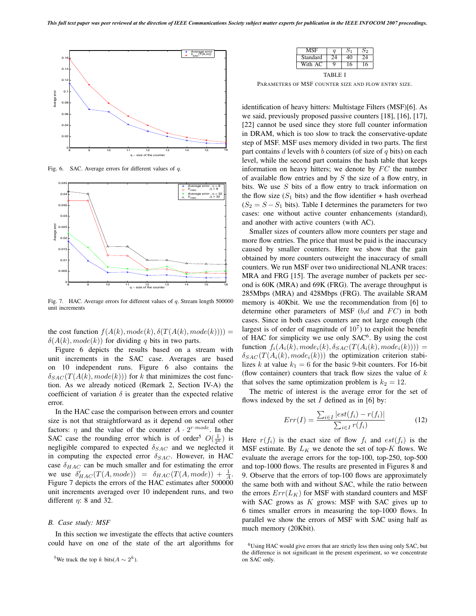

Fig. 6. SAC. Average errors for different values of q.



Fig. 7. HAC. Average errors for different values of q. Stream length 500000 unit increments

the cost function  $f(A(k), mode(k), \delta(T(A(k), mode(k))))$  =  $\delta(A(k), mode(k))$  for dividing q bits in two parts.

Figure 6 depicts the results based on a stream with unit increments in the SAC case. Averages are based on 10 independent runs. Figure 6 also contains the  $\delta_{SAC}(T(A(k), mode(k)))$  for k that minimizes the cost function. As we already noticed (Remark 2, Section IV-A) the coefficient of variation  $\delta$  is greater than the expected relative error.

In the HAC case the comparison between errors and counter size is not that straightforward as it depend on several other factors:  $\eta$  and the value of the counter  $A \cdot 2^{r \cdot mode}$ . In the SAC case the rounding error which is of order<sup>5</sup>  $O(\frac{1}{2^k})$  is<br>negligible compared to expected  $\delta_{CAG}$  and we neglected it negligible compared to expected  $\delta_{SAC}$  and we neglected it in computing the expected error  $\delta_{SAC}$ . However, in HAC case  $\delta_{HAC}$  can be much smaller and for estimating the error we use  $\delta'_{HAC}(T(A, mode)) = \delta_{HAC}(T(A, mode)) + \frac{1}{A}$ .<br>Figure 7 depicts the errors of the HAC estimates after 500000 Figure 7 depicts the errors of the HAC estimates after 500000 unit increments averaged over 10 independent runs, and two different  $\eta$ : 8 and 32.

#### *B. Case study: MSF*

In this section we investigate the effects that active counters could have on one of the state of the art algorithms for

<sup>5</sup>We track the top k bits( $A \sim 2^k$ ).

|          | a |   | りつ |
|----------|---|---|----|
| Standard |   |   | Δ  |
| With AC  | റ | 6 | 6  |

TABLE I

PARAMETERS OF MSF COUNTER SIZE AND FLOW ENTRY SIZE.

identification of heavy hitters: Multistage Filters (MSF)[6]. As we said, previously proposed passive counters [18], [16], [17], [22] cannot be used since they store full counter information in DRAM, which is too slow to track the conservative-update step of MSF. MSF uses memory divided in two parts. The first part contains d levels with b counters (of size of  $q$  bits) on each level, while the second part contains the hash table that keeps information on heavy hitters; we denote by  $FC$  the number of available flow entries and by  $S$  the size of a flow entry, in bits. We use S bits of a flow entry to track information on the flow size  $(S_1$  bits) and the flow identifier + hash overhead  $(S_2 = S - S_1)$  bits). Table I determines the parameters for two cases: one without active counter enhancements (standard), and another with active counters (with AC).

Smaller sizes of counters allow more counters per stage and more flow entries. The price that must be paid is the inaccuracy caused by smaller counters. Here we show that the gain obtained by more counters outweight the inaccuracy of small counters. We run MSF over two unidirectional NLANR traces: MRA and FRG [15]. The average number of packets per second is 60K (MRA) and 69K (FRG). The average throughput is 285Mbps (MRA) and 428Mbps (FRG). The available SRAM memory is 40Kbit. We use the recommendation from [6] to determine other parameters of MSF  $(b,d \text{ and } FC)$  in both cases. Since in both cases counters are not large enough (the largest is of order of magnitude of  $10<sup>7</sup>$ ) to exploit the benefit of HAC for simplicity we use only  $SAC^6$ . By using the cost function  $f_i(A_i(k), mode_i(k), \delta_{SAC}(T(A_i(k), mode_i(k))))$  =  $\delta_{SAC}(T(A_i(k), mode_i(k)))$  the optimization criterion stabilizes k at value  $k_1 = 6$  for the basic 9-bit counters. For 16-bit (flow container) counters that track flow sizes the value of  $k$ that solves the same optimization problem is  $k_2 = 12$ .

The metric of interest is the average error for the set of flows indexed by the set  $I$  defined as in [6] by:

$$
Err(I) = \frac{\sum_{i \in I} |est(f_i) - r(f_i)|}{\sum_{i \in I} r(f_i)}
$$
(12)

Here  $r(f_i)$  is the exact size of flow  $f_i$  and  $est(f_i)$  is the MSF estimate. By  $L_K$  we denote the set of top- $K$  flows. We evaluate the average errors for the top-100, top-250, top-500 and top-1000 flows. The results are presented in Figures 8 and 9. Observe that the errors of top-100 flows are approximately the same both with and without SAC, while the ratio between the errors  $Err(L_K)$  for MSF with standard counters and MSF with SAC grows as  $K$  grows: MSF with SAC gives up to 6 times smaller errors in measuring the top-1000 flows. In parallel we show the errors of MSF with SAC using half as much memory (20Kbit).

<sup>6</sup>Using HAC would give errors that are strictly less then using only SAC, but the difference is not significant in the present experiment, so we concentrate on SAC only.